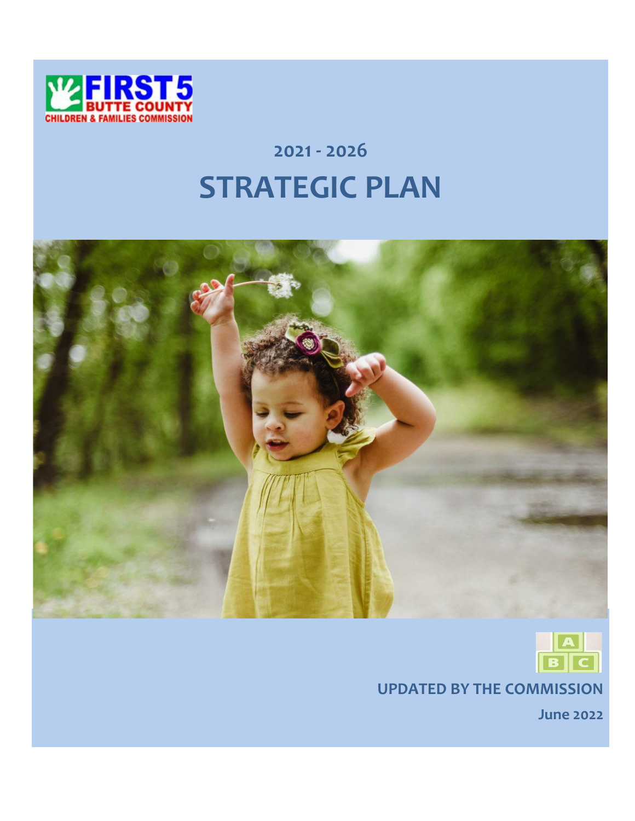

# **2021 - 2026 STRATEGIC PLAN**





**UPDATED BY THE COMMISSION**

**June 2022**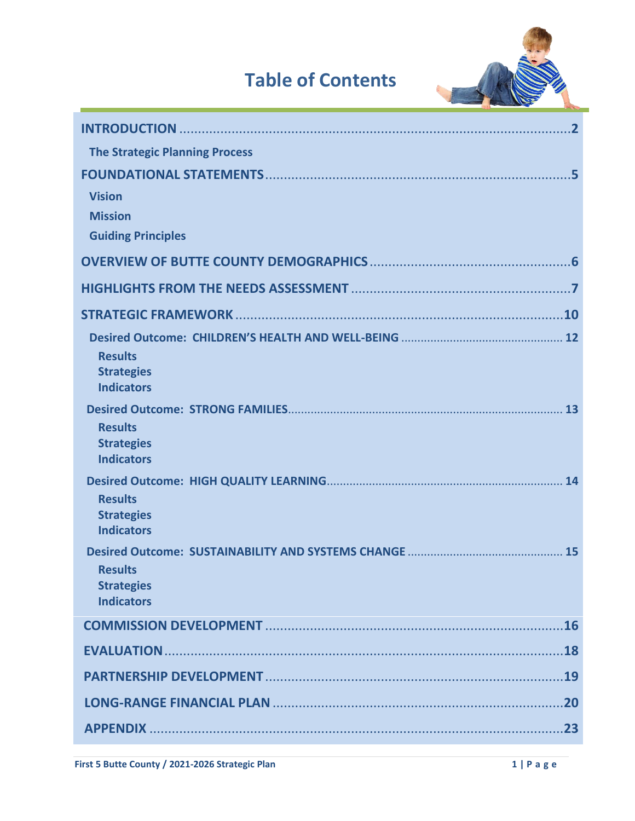## **Table of Contents**



| <b>The Strategic Planning Process</b>                             |
|-------------------------------------------------------------------|
| 5<br><b>Vision</b><br><b>Mission</b><br><b>Guiding Principles</b> |
|                                                                   |
|                                                                   |
|                                                                   |
| <b>Results</b><br><b>Strategies</b><br><b>Indicators</b>          |
| <b>Results</b><br><b>Strategies</b><br><b>Indicators</b>          |
| <b>Results</b><br><b>Strategies</b><br><b>Indicators</b>          |
| <b>Results</b><br><b>Strategies</b><br><b>Indicators</b>          |
|                                                                   |
|                                                                   |
| .19                                                               |
| 20                                                                |
| .23                                                               |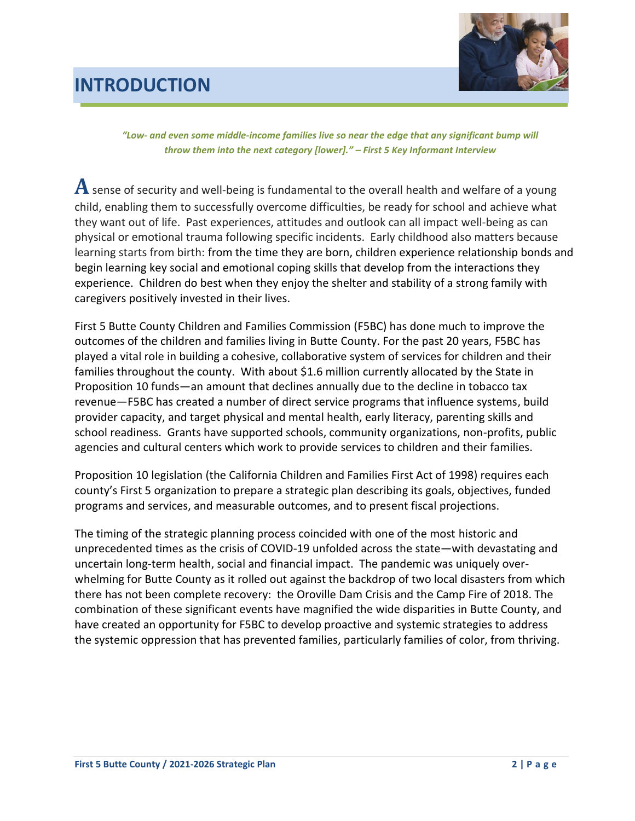## **INTRODUCTION**



*"Low- and even some middle-income families live so near the edge that any significant bump will throw them into the next category [lower]." – First 5 Key Informant Interview*

**A**sense of security and well-being is fundamental to the overall health and welfare of a young child, enabling them to successfully overcome difficulties, be ready for school and achieve what they want out of life. Past experiences, attitudes and outlook can all impact well-being as can physical or emotional trauma following specific incidents. Early childhood also matters because learning starts from birth: from the time they are born, children experience relationship bonds and begin learning key social and emotional coping skills that develop from the interactions they experience. Children do best when they enjoy the shelter and stability of a strong family with caregivers positively invested in their lives.

First 5 Butte County Children and Families Commission (F5BC) has done much to improve the outcomes of the children and families living in Butte County. For the past 20 years, F5BC has played a vital role in building a cohesive, collaborative system of services for children and their families throughout the county. With about \$1.6 million currently allocated by the State in Proposition 10 funds—an amount that declines annually due to the decline in tobacco tax revenue—F5BC has created a number of direct service programs that influence systems, build provider capacity, and target physical and mental health, early literacy, parenting skills and school readiness. Grants have supported schools, community organizations, non-profits, public agencies and cultural centers which work to provide services to children and their families.

Proposition 10 legislation (the California Children and Families First Act of 1998) requires each county's First 5 organization to prepare a strategic plan describing its goals, objectives, funded programs and services, and measurable outcomes, and to present fiscal projections.

The timing of the strategic planning process coincided with one of the most historic and unprecedented times as the crisis of COVID-19 unfolded across the state—with devastating and uncertain long-term health, social and financial impact. The pandemic was uniquely overwhelming for Butte County as it rolled out against the backdrop of two local disasters from which there has not been complete recovery: the Oroville Dam Crisis and the Camp Fire of 2018. The combination of these significant events have magnified the wide disparities in Butte County, and have created an opportunity for F5BC to develop proactive and systemic strategies to address the systemic oppression that has prevented families, particularly families of color, from thriving.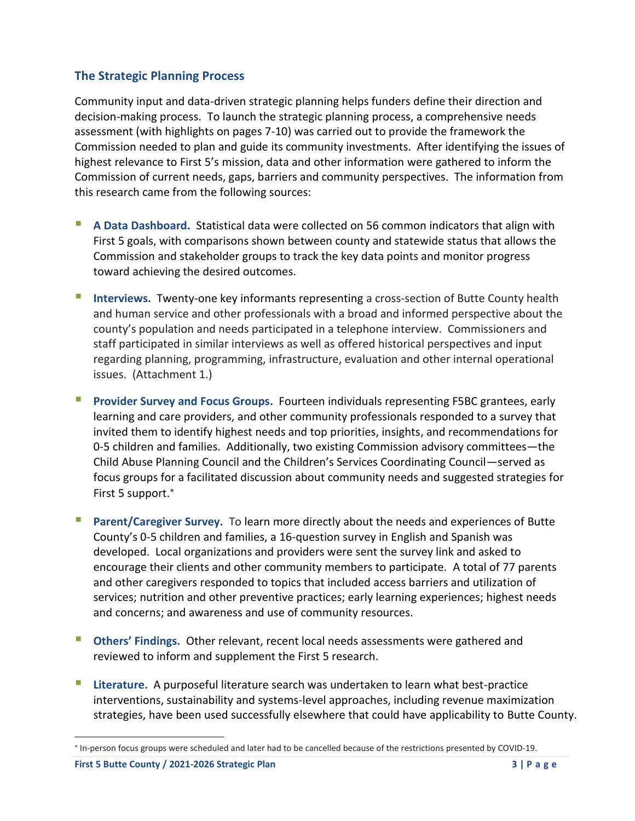### **The Strategic Planning Process**

Community input and data-driven strategic planning helps funders define their direction and decision-making process. To launch the strategic planning process, a comprehensive needs assessment (with highlights on pages 7-10) was carried out to provide the framework the Commission needed to plan and guide its community investments. After identifying the issues of highest relevance to First 5's mission, data and other information were gathered to inform the Commission of current needs, gaps, barriers and community perspectives. The information from this research came from the following sources:

- **A Data Dashboard.** Statistical data were collected on 56 common indicators that align with First 5 goals, with comparisons shown between county and statewide status that allows the Commission and stakeholder groups to track the key data points and monitor progress toward achieving the desired outcomes.
- **E** Interviews. Twenty-one key informants representing a cross-section of Butte County health and human service and other professionals with a broad and informed perspective about the county's population and needs participated in a telephone interview. Commissioners and staff participated in similar interviews as well as offered historical perspectives and input regarding planning, programming, infrastructure, evaluation and other internal operational issues. (Attachment 1.)
- **Provider Survey and Focus Groups.** Fourteen individuals representing F5BC grantees, early learning and care providers, and other community professionals responded to a survey that invited them to identify highest needs and top priorities, insights, and recommendations for 0-5 children and families. Additionally, two existing Commission advisory committees—the Child Abuse Planning Council and the Children's Services Coordinating Council—served as focus groups for a facilitated discussion about community needs and suggested strategies for First 5 support.
- **Parent/Caregiver Survey.** To learn more directly about the needs and experiences of Butte County's 0-5 children and families, a 16-question survey in English and Spanish was developed. Local organizations and providers were sent the survey link and asked to encourage their clients and other community members to participate. A total of 77 parents and other caregivers responded to topics that included access barriers and utilization of services; nutrition and other preventive practices; early learning experiences; highest needs and concerns; and awareness and use of community resources.
- **Dimers' Findings. Other relevant, recent local needs assessments were gathered and** reviewed to inform and supplement the First 5 research.
- Literature. A purposeful literature search was undertaken to learn what best-practice interventions, sustainability and systems-level approaches, including revenue maximization strategies, have been used successfully elsewhere that could have applicability to Butte County.

In-person focus groups were scheduled and later had to be cancelled because of the restrictions presented by COVID-19.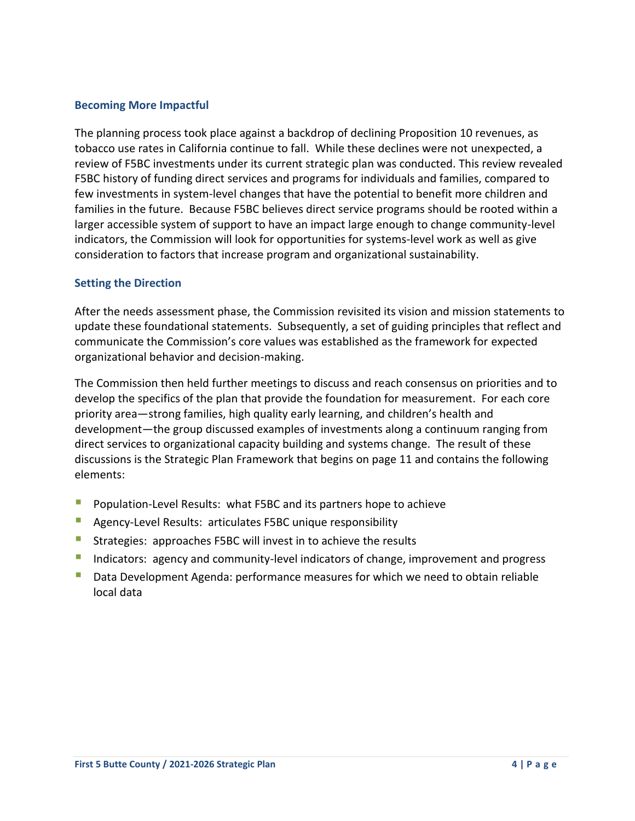### **Becoming More Impactful**

The planning process took place against a backdrop of declining Proposition 10 revenues, as tobacco use rates in California continue to fall. While these declines were not unexpected, a review of F5BC investments under its current strategic plan was conducted. This review revealed F5BC history of funding direct services and programs for individuals and families, compared to few investments in system-level changes that have the potential to benefit more children and families in the future. Because F5BC believes direct service programs should be rooted within a larger accessible system of support to have an impact large enough to change community-level indicators, the Commission will look for opportunities for systems-level work as well as give consideration to factors that increase program and organizational sustainability.

### **Setting the Direction**

After the needs assessment phase, the Commission revisited its vision and mission statements to update these foundational statements. Subsequently, a set of guiding principles that reflect and communicate the Commission's core values was established as the framework for expected organizational behavior and decision-making.

The Commission then held further meetings to discuss and reach consensus on priorities and to develop the specifics of the plan that provide the foundation for measurement. For each core priority area—strong families, high quality early learning, and children's health and development—the group discussed examples of investments along a continuum ranging from direct services to organizational capacity building and systems change. The result of these discussions is the Strategic Plan Framework that begins on page 11 and contains the following elements:

- Population-Level Results: what F5BC and its partners hope to achieve
- Agency-Level Results: articulates F5BC unique responsibility
- Strategies: approaches F5BC will invest in to achieve the results
- Indicators: agency and community-level indicators of change, improvement and progress
- **Data Development Agenda: performance measures for which we need to obtain reliable** local data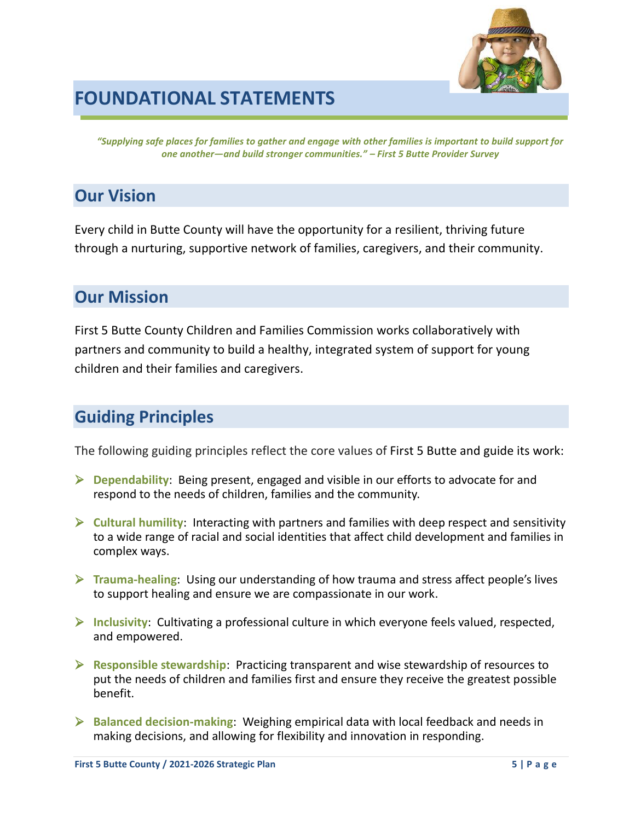

## **FOUNDATIONAL STATEMENTS**

*"Supplying safe places for families to gather and engage with other families is important to build support for one another—and build stronger communities." – First 5 Butte Provider Survey* 

## **Our Vision**

Every child in Butte County will have the opportunity for a resilient, thriving future through a nurturing, supportive network of families, caregivers, and their community.

## **Our Mission**

First 5 Butte County Children and Families Commission works collaboratively with partners and community to build a healthy, integrated system of support for young children and their families and caregivers.

## **Guiding Principles**

The following guiding principles reflect the core values of First 5 Butte and guide its work:

- ➢ **Dependability**: Being present, engaged and visible in our efforts to advocate for and respond to the needs of children, families and the community.
- ➢ **Cultural humility**: Interacting with partners and families with deep respect and sensitivity to a wide range of racial and social identities that affect child development and families in complex ways.
- ➢ **Trauma-healing**: Using our understanding of how trauma and stress affect people's lives to support healing and ensure we are compassionate in our work.
- ➢ **Inclusivity**: Cultivating a professional culture in which everyone feels valued, respected, and empowered.
- ➢ **Responsible stewardship**: Practicing transparent and wise stewardship of resources to put the needs of children and families first and ensure they receive the greatest possible benefit.
- ➢ **Balanced decision-making**: Weighing empirical data with local feedback and needs in making decisions, and allowing for flexibility and innovation in responding.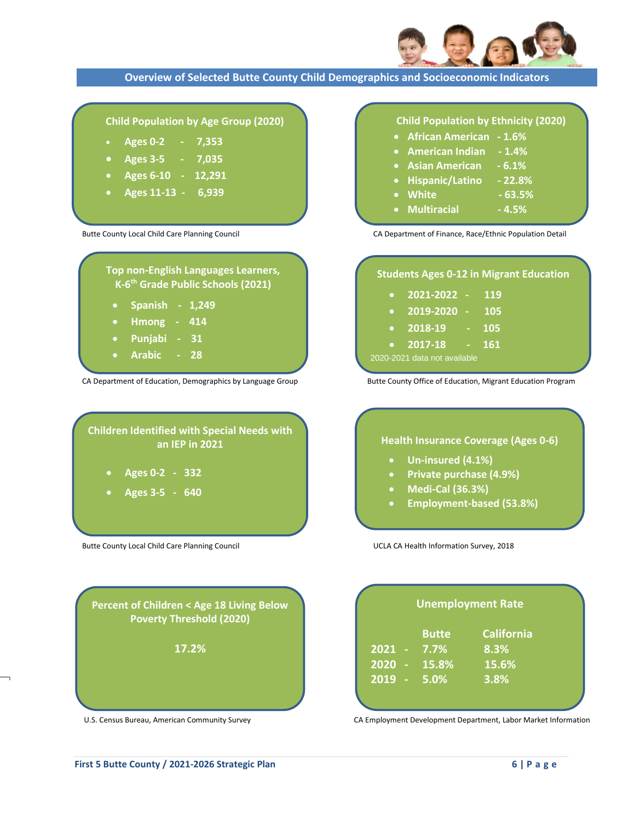

### **Overview of Selected Butte County Child Demographics and Socioeconomic Indicators**

### **Child Population by Age Group (2020)**

- **Ages 0-2 7,353**
- **Ages 3-5 7,035**
- **Ages 6-10 12,291**
- **Ages 11-13 6,939**

**Top non-English Languages Learners, K-6 th Grade Public Schools (2021)**

- **Spanish 1,249**
- **Hmong 414**
- **Punjabi 31**
- **Arabic 28**

**CA Department of Education, Demographics by Language Group Butte County Office of Education, Migrant Education Program** 

## **Children Identified with Special Needs with an IEP in 2021** • **Ages 0-2 - 332** • **Ages 3-5 - 640**

**Percent of Children < Age 18 Living Below Poverty Threshold (2020)**

**17.2%**

Butte County Local Child Care Planning Council **National Council COLA CA Health Information Survey, 2018** 

## **Child Population by Ethnicity (2020)**

- **African American - 1.6%**
- **American Indian - 1.4%**
- **Asian American - 6.1%**
- **Hispanic/Latino - 22.8%**
- **White - 63.5%**
- $Multiracial -4.5%$

Butte County Local Child Care Planning Council Care Council CA Department of Finance, Race/Ethnic Population Detail

### **Students Ages 0-12 in Migrant Education**

| $\bullet$                 | 2021-2022 -     |    | 119 |  |
|---------------------------|-----------------|----|-----|--|
| $\bullet$                 | $2019 - 2020 -$ |    | 105 |  |
| $\bullet$                 | 2018-19         | ш. | 105 |  |
| $\bullet$                 | 2017-18         |    | 161 |  |
| 0-2021 data not available |                 |    |     |  |

## **Health Insurance Coverage (Ages 0-6)** • **Un-insured (4.1%)**

- **Private purchase (4.9%)**
- **Medi-Cal (36.3%)**
- **Employment-based (53.8%)**

| <b>Unemployment Rate</b> |           |                     |                   |  |
|--------------------------|-----------|---------------------|-------------------|--|
|                          |           | <b>Butte</b>        | <b>California</b> |  |
| $2021 -$                 |           | $7.7\%$             | 8.3%              |  |
| 2020                     | <b>A</b>  | $\overline{15.8\%}$ | 15.6%             |  |
| 2019                     | $\sim 10$ | 5.0%                | 3.8%              |  |

U.S. Census Bureau, American [Community](https://factfinder.census.gov/) Survey CA Employment Development Department, Labor Market Information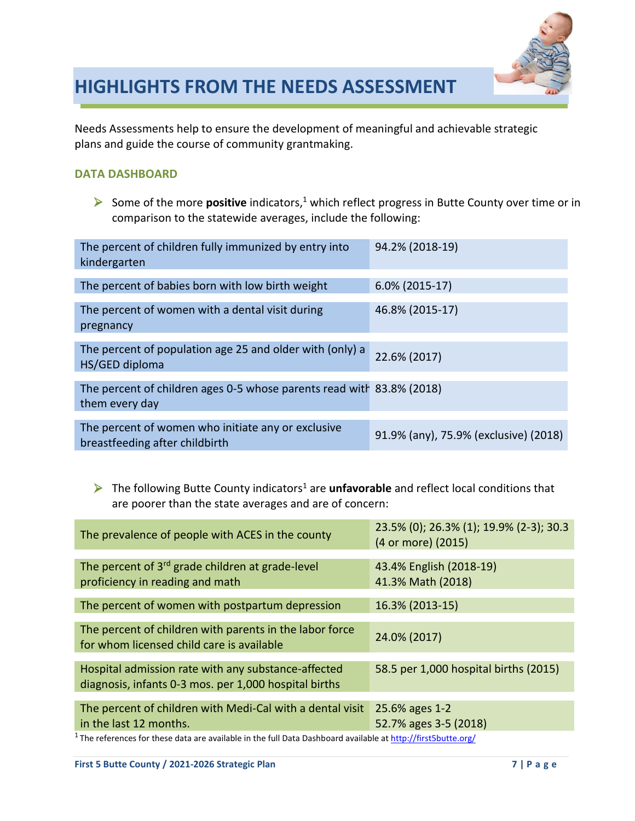

## **HIGHLIGHTS FROM THE NEEDS ASSESSMENT**

Needs Assessments help to ensure the development of meaningful and achievable strategic plans and guide the course of community grantmaking.

### **DATA DASHBOARD**

➢ Some of the more **positive** indicators, <sup>1</sup> which reflect progress in Butte County over time or in comparison to the statewide averages, include the following:

| The percent of children fully immunized by entry into<br>kindergarten | 94.2% (2018-19)                       |
|-----------------------------------------------------------------------|---------------------------------------|
|                                                                       |                                       |
| The percent of babies born with low birth weight                      | $6.0\%$ (2015-17)                     |
|                                                                       |                                       |
| The percent of women with a dental visit during                       | 46.8% (2015-17)                       |
|                                                                       |                                       |
| pregnancy                                                             |                                       |
|                                                                       |                                       |
| The percent of population age 25 and older with (only) a              |                                       |
| HS/GED diploma                                                        | 22.6% (2017)                          |
|                                                                       |                                       |
|                                                                       |                                       |
| The percent of children ages 0-5 whose parents read with 83.8% (2018) |                                       |
| them every day                                                        |                                       |
|                                                                       |                                       |
|                                                                       |                                       |
| The percent of women who initiate any or exclusive                    |                                       |
| breastfeeding after childbirth                                        | 91.9% (any), 75.9% (exclusive) (2018) |
|                                                                       |                                       |

➢ The following Butte County indicators<sup>1</sup> are **unfavorable** and reflect local conditions that are poorer than the state averages and are of concern:

| The prevalence of people with ACES in the county                                                             | 23.5% (0); 26.3% (1); 19.9% (2-3); 30.3<br>(4 or more) (2015) |
|--------------------------------------------------------------------------------------------------------------|---------------------------------------------------------------|
| The percent of $3rd$ grade children at grade-level<br>proficiency in reading and math                        | 43.4% English (2018-19)<br>41.3% Math (2018)                  |
| The percent of women with postpartum depression                                                              | 16.3% (2013-15)                                               |
| The percent of children with parents in the labor force<br>for whom licensed child care is available         | 24.0% (2017)                                                  |
| Hospital admission rate with any substance-affected<br>diagnosis, infants 0-3 mos. per 1,000 hospital births | 58.5 per 1,000 hospital births (2015)                         |
| The percent of children with Medi-Cal with a dental visit<br>in the last 12 months.                          | 25.6% ages 1-2<br>52.7% ages 3-5 (2018)                       |

<sup>1</sup> The references for these data are available in the full Data Dashboard available at<http://first5butte.org/>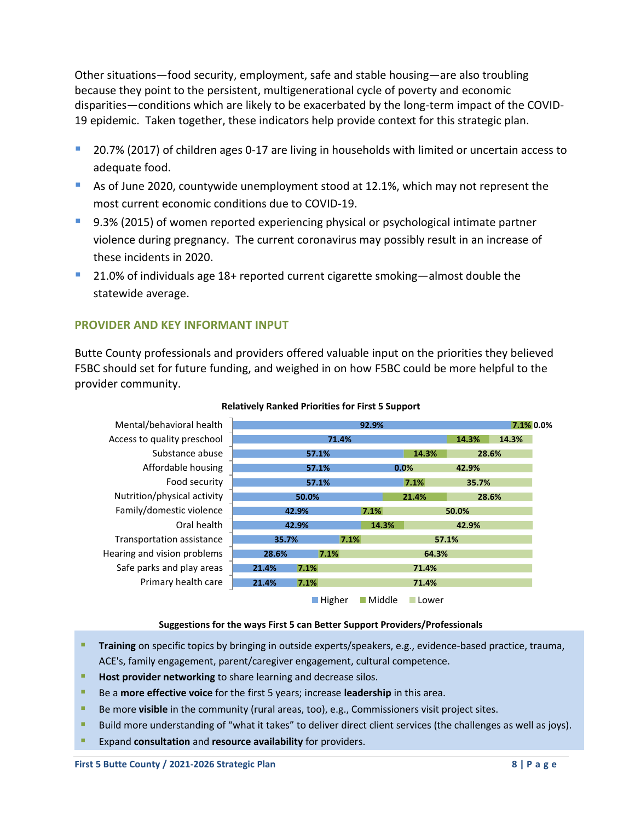Other situations—food security, employment, safe and stable housing—are also troubling because they point to the persistent, multigenerational cycle of poverty and economic disparities—conditions which are likely to be exacerbated by the long-term impact of the COVID-19 epidemic. Taken together, these indicators help provide context for this strategic plan.

- 20.7% (2017) of children ages 0-17 are living in households with limited or uncertain access to adequate food.
- As of June 2020, countywide unemployment stood at 12.1%, which may not represent the most current economic conditions due to COVID-19.
- 9.3% (2015) of women reported experiencing physical or psychological intimate partner violence during pregnancy. The current coronavirus may possibly result in an increase of these incidents in 2020.
- $21.0\%$  of individuals age 18+ reported current cigarette smoking—almost double the statewide average.

### **PROVIDER AND KEY INFORMANT INPUT**

Butte County professionals and providers offered valuable input on the priorities they believed F5BC should set for future funding, and weighed in on how F5BC could be more helpful to the provider community.



### **Relatively Ranked Priorities for First 5 Support**

### **Suggestions for the ways First 5 can Better Support Providers/Professionals**

- **Training** on specific topics by bringing in outside experts/speakers, e.g., evidence-based practice, trauma, ACE's, family engagement, parent/caregiver engagement, cultural competence.
- Host provider networking to share learning and decrease silos.
- Be a **more effective voice** for the first 5 years; increase **leadership** in this area.
- **E** Be more **visible** in the community (rural areas, too), e.g., Commissioners visit project sites.
- Build more understanding of "what it takes" to deliver direct client services (the challenges as well as joys).
- Expand **consultation** and **resource availability** for providers.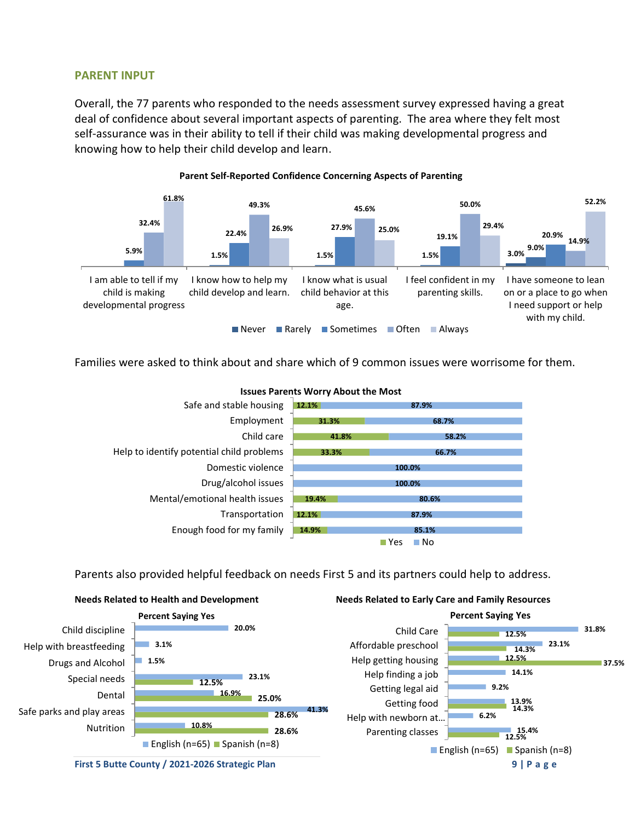### **PARENT INPUT**

Overall, the 77 parents who responded to the needs assessment survey expressed having a great deal of confidence about several important aspects of parenting. The area where they felt most self-assurance was in their ability to tell if their child was making developmental progress and knowing how to help their child develop and learn.



### Families were asked to think about and share which of 9 common issues were worrisome for them.



### **Issues Parents Worry About the Most**

### Parents also provided helpful feedback on needs First 5 and its partners could help to address.



**First 5 Butte County / 2021-2026 Strategic Plan 9 | P a g e**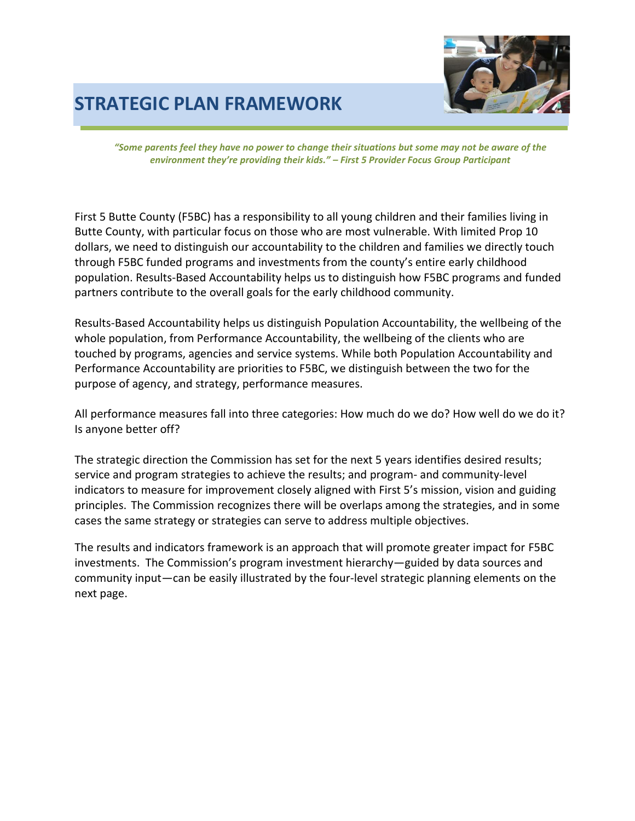## **STRATEGIC PLAN FRAMEWORK**



*"Some parents feel they have no power to change their situations but some may not be aware of the environment they're providing their kids." – First 5 Provider Focus Group Participant*

First 5 Butte County (F5BC) has a responsibility to all young children and their families living in Butte County, with particular focus on those who are most vulnerable. With limited Prop 10 dollars, we need to distinguish our accountability to the children and families we directly touch through F5BC funded programs and investments from the county's entire early childhood population. Results-Based Accountability helps us to distinguish how F5BC programs and funded partners contribute to the overall goals for the early childhood community.

Results-Based Accountability helps us distinguish Population Accountability, the wellbeing of the whole population, from Performance Accountability, the wellbeing of the clients who are touched by programs, agencies and service systems. While both Population Accountability and Performance Accountability are priorities to F5BC, we distinguish between the two for the purpose of agency, and strategy, performance measures.

All performance measures fall into three categories: How much do we do? How well do we do it? Is anyone better off?

The strategic direction the Commission has set for the next 5 years identifies desired results; service and program strategies to achieve the results; and program- and community-level indicators to measure for improvement closely aligned with First 5's mission, vision and guiding principles. The Commission recognizes there will be overlaps among the strategies, and in some cases the same strategy or strategies can serve to address multiple objectives.

The results and indicators framework is an approach that will promote greater impact for F5BC investments. The Commission's program investment hierarchy—guided by data sources and community input—can be easily illustrated by the four-level strategic planning elements on the next page.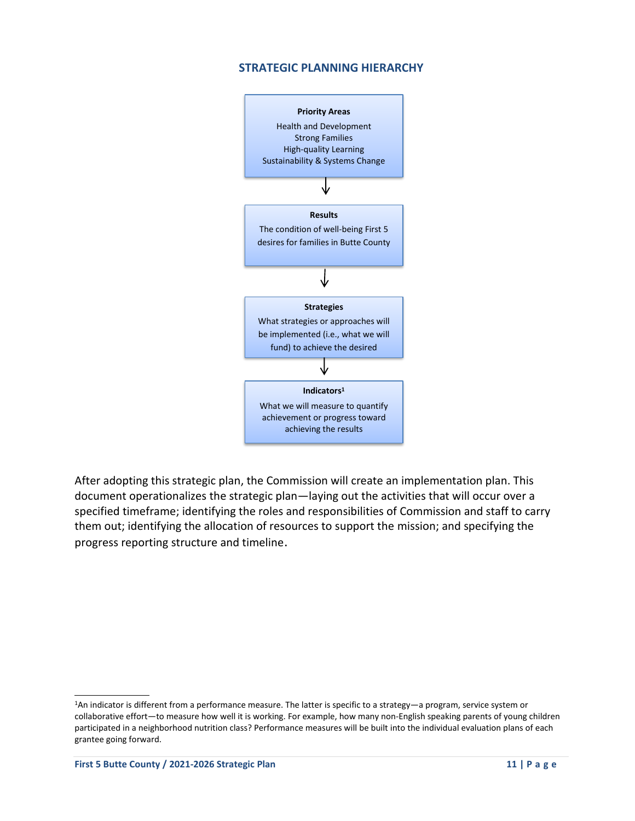### **STRATEGIC PLANNING HIERARCHY**



After adopting this strategic plan, the Commission will create an implementation plan. This document operationalizes the strategic plan—laying out the activities that will occur over a specified timeframe; identifying the roles and responsibilities of Commission and staff to carry them out; identifying the allocation of resources to support the mission; and specifying the progress reporting structure and timeline.

<sup>1</sup>An indicator is different from a performance measure. The latter is specific to a strategy—a program, service system or collaborative effort—to measure how well it is working. For example, how many non-English speaking parents of young children participated in a neighborhood nutrition class? Performance measures will be built into the individual evaluation plans of each grantee going forward.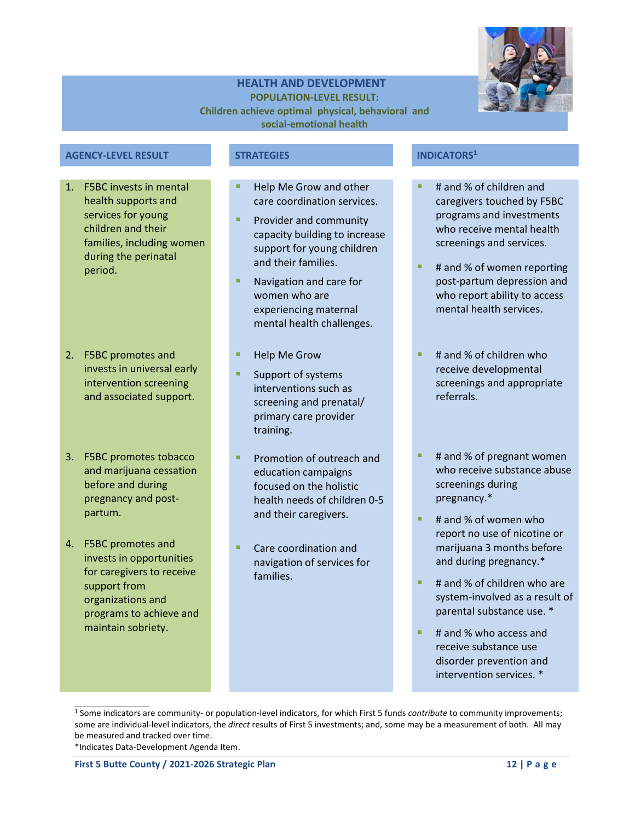

### **HEALTH AND DEVELOPMENT POPULATION-LEVEL RESULT: Children achieve optimal physical, behavioral and social-emotional health**

### **AGENCY-LEVEL RESULT STRATEGIES INDICATORS<sup>1</sup>**

- 1. F5BC invests in mental health supports and services for young children and their families, including women during the perinatal period.
- 2. F5BC promotes and invests in universal early intervention screening and associated support.
- 3. F5BC promotes tobacco and marijuana cessation before and during pregnancy and postpartum.
- 4. F5BC promotes and invests in opportunities for caregivers to receive support from organizations and programs to achieve and maintain sobriety.

- Help Me Grow and other care coordination services.
- Provider and community capacity building to increase support for young children and their families.
- Navigation and care for women who are experiencing maternal mental health challenges.
- **Help Me Grow**
- Support of systems interventions such as screening and prenatal/ primary care provider training.
- Promotion of outreach and education campaigns focused on the holistic health needs of children 0-5 and their caregivers.
- Care coordination and navigation of services for families.

- # and % of children and caregivers touched by F5BC programs and investments who receive mental health screenings and services.
- # and % of women reporting post-partum depression and who report ability to access mental health services.
- # and % of children who receive developmental screenings and appropriate referrals.
- # and % of pregnant women who receive substance abuse screenings during pregnancy.\*
- # and % of women who report no use of nicotine or marijuana 3 months before and during pregnancy.\*
- # and % of children who are system-involved as a result of parental substance use. \*
- # and % who access and receive substance use disorder prevention and intervention services. \*

<sup>1</sup> Some indicators are community- or population-level indicators, for which First 5 funds *contribute* to community improvements; some are individual-level indicators, the *direct* results of First 5 investments; and, some may be a measurement of both. All may be measured and tracked over time.

<sup>\*</sup>Indicates Data-Development Agenda Item.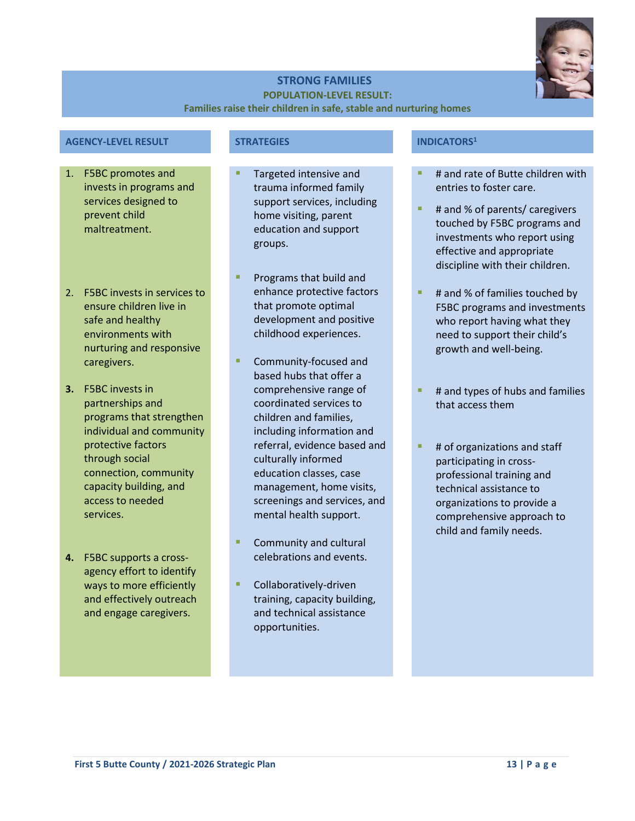

### **STRONG FAMILIES POPULATION-LEVEL RESULT:**

### **Families raise their children in safe, stable and nurturing homes**

|  | <b>AGENCY-LEVEL RESULT</b> |  |
|--|----------------------------|--|
|  |                            |  |

- 1. F5BC promotes and invests in programs and services designed to prevent child maltreatment.
- 2. F5BC invests in services to ensure children live in safe and healthy environments with nurturing and responsive caregivers.
- **3.** F5BC invests in partnerships and programs that strengthen individual and community protective factors through social connection, community capacity building, and access to needed services.
- **4.** F5BC supports a crossagency effort to identify ways to more efficiently and effectively outreach and engage caregivers.

- Targeted intensive and trauma informed family support services, including home visiting, parent education and support groups.
- Programs that build and enhance protective factors that promote optimal development and positive childhood experiences.
- Community-focused and based hubs that offer a comprehensive range of coordinated services to children and families, including information and referral, evidence based and culturally informed education classes, case management, home visits, screenings and services, and mental health support.
- Community and cultural celebrations and events.
- Collaboratively-driven training, capacity building, and technical assistance opportunities.

### **AGENCY-LEVEL RESULTED AGENCY-LEVEL RESULTED ASSESSED ASSOCIATIONS<sup>1</sup>**

- # and rate of Butte children with entries to foster care.
- # and % of parents/ caregivers touched by F5BC programs and investments who report using effective and appropriate discipline with their children.
- # and % of families touched by F5BC programs and investments who report having what they need to support their child's growth and well-being.
- # and types of hubs and families that access them
- # of organizations and staff participating in crossprofessional training and technical assistance to organizations to provide a comprehensive approach to child and family needs.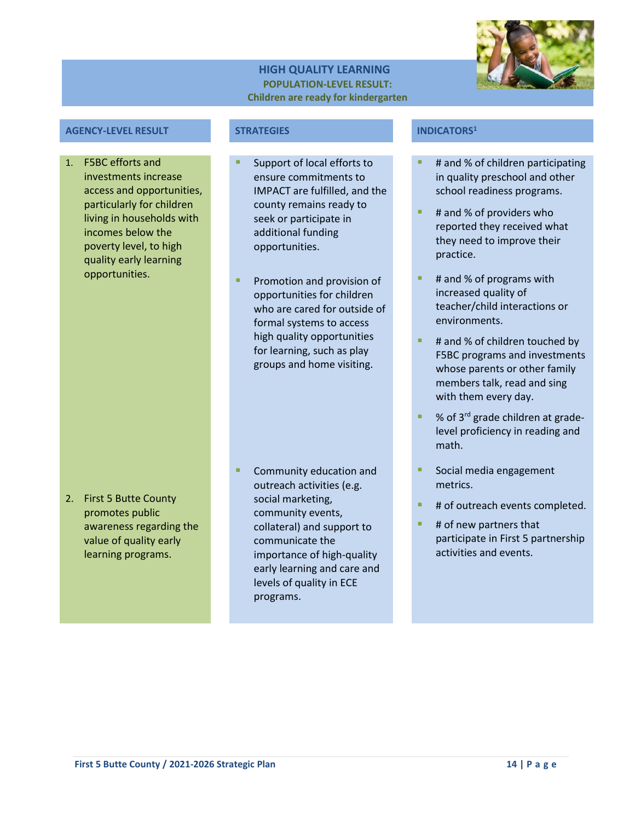### **HIGH QUALITY LEARNING POPULATION-LEVEL RESULT: Children are ready for kindergarten**



### **AGENCY-LEVEL RESULT STRATEGIES INDICATORS<sup>1</sup>**

1. F5BC efforts and investments increase access and opportunities, particularly for children living in households with incomes below the poverty level, to high quality early learning opportunities.

2. First 5 Butte County promotes public awareness regarding the value of quality early learning programs.

- Support of local efforts to ensure commitments to IMPACT are fulfilled, and the county remains ready to seek or participate in additional funding opportunities.
- Promotion and provision of opportunities for children who are cared for outside of formal systems to access high quality opportunities for learning, such as play groups and home visiting.

Community education and outreach activities (e.g. social marketing, community events, collateral) and support to communicate the importance of high-quality early learning and care and levels of quality in ECE programs.

- # and % of children participating in quality preschool and other school readiness programs.
- # and % of providers who reported they received what they need to improve their practice.
- # and % of programs with increased quality of teacher/child interactions or environments.
- # and % of children touched by F5BC programs and investments whose parents or other family members talk, read and sing with them every day.
- % of 3<sup>rd</sup> grade children at gradelevel proficiency in reading and math.
- Social media engagement metrics.
- # of outreach events completed.
- # of new partners that participate in First 5 partnership activities and events.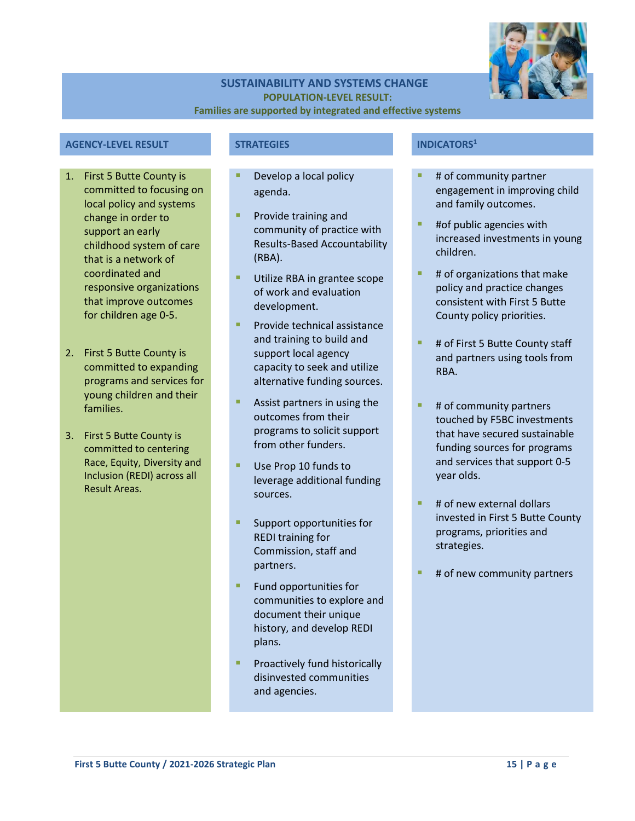

### **SUSTAINABILITY AND SYSTEMS CHANGE POPULATION-LEVEL RESULT: Families are supported by integrated and effective systems**

### **AGENCY-LEVEL RESULT STRATEGIES INDICATORS<sup>1</sup>**

- 1. First 5 Butte County is committed to focusing on local policy and systems change in order to support an early childhood system of care that is a network of coordinated and responsive organizations that improve outcomes for children age 0-5.
- 2. First 5 Butte County is committed to expanding programs and services for young children and their families.
- 3. First 5 Butte County is committed to centering Race, Equity, Diversity and Inclusion (REDI) across all Result Areas.

- Develop a local policy agenda.
- **•** Provide training and community of practice with Results-Based Accountability (RBA).
- Utilize RBA in grantee scope of work and evaluation development.
- Provide technical assistance and training to build and support local agency capacity to seek and utilize alternative funding sources.
- Assist partners in using the outcomes from their programs to solicit support from other funders.
- Use Prop 10 funds to leverage additional funding sources.
- Support opportunities for REDI training for Commission, staff and partners.
- Fund opportunities for communities to explore and document their unique history, and develop REDI plans.
- Proactively fund historically disinvested communities and agencies.

- # of community partner engagement in improving child and family outcomes.
- #of public agencies with increased investments in young children.
- # of organizations that make policy and practice changes consistent with First 5 Butte County policy priorities.
- # of First 5 Butte County staff and partners using tools from RBA.
- # of community partners touched by F5BC investments that have secured sustainable funding sources for programs and services that support 0-5 year olds.
- # of new external dollars invested in First 5 Butte County programs, priorities and strategies.
- # of new community partners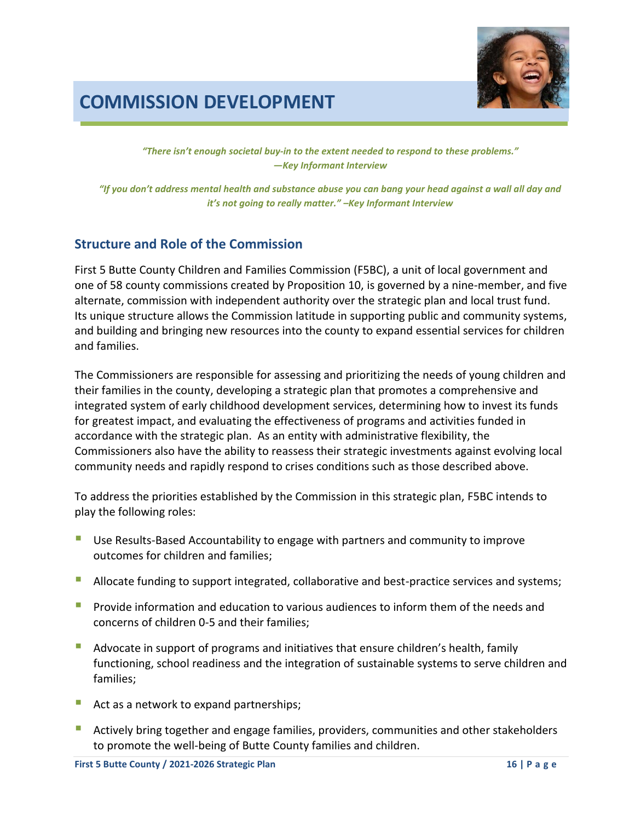

## **COMMISSION DEVELOPMENT**

*"There isn't enough societal buy-in to the extent needed to respond to these problems." —Key Informant Interview*

*"If you don't address mental health and substance abuse you can bang your head against a wall all day and it's not going to really matter." –Key Informant Interview*

### **Structure and Role of the Commission**

First 5 Butte County Children and Families Commission (F5BC), a unit of local government and one of 58 county commissions created by Proposition 10, is governed by a nine-member, and five alternate, commission with independent authority over the strategic plan and local trust fund. Its unique structure allows the Commission latitude in supporting public and community systems, and building and bringing new resources into the county to expand essential services for children and families.

The Commissioners are responsible for assessing and prioritizing the needs of young children and their families in the county, developing a strategic plan that promotes a comprehensive and integrated system of early childhood development services, determining how to invest its funds for greatest impact, and evaluating the effectiveness of programs and activities funded in accordance with the strategic plan. As an entity with administrative flexibility, the Commissioners also have the ability to reassess their strategic investments against evolving local community needs and rapidly respond to crises conditions such as those described above.

To address the priorities established by the Commission in this strategic plan, F5BC intends to play the following roles:

- Use Results-Based Accountability to engage with partners and community to improve outcomes for children and families;
- Allocate funding to support integrated, collaborative and best-practice services and systems;
- **•** Provide information and education to various audiences to inform them of the needs and concerns of children 0-5 and their families;
- Advocate in support of programs and initiatives that ensure children's health, family functioning, school readiness and the integration of sustainable systems to serve children and families;
- Act as a network to expand partnerships;
- Actively bring together and engage families, providers, communities and other stakeholders to promote the well-being of Butte County families and children.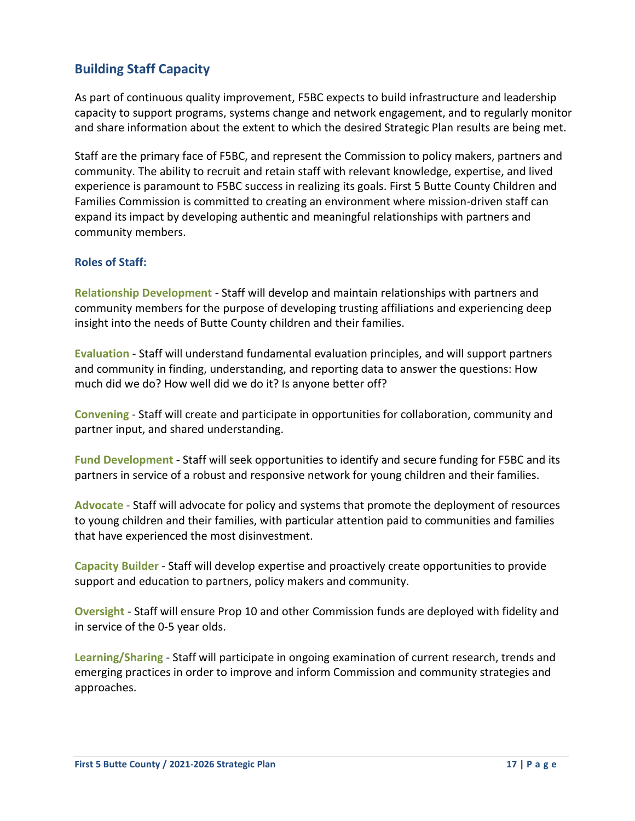### **Building Staff Capacity**

As part of continuous quality improvement, F5BC expects to build infrastructure and leadership capacity to support programs, systems change and network engagement, and to regularly monitor and share information about the extent to which the desired Strategic Plan results are being met.

Staff are the primary face of F5BC, and represent the Commission to policy makers, partners and community. The ability to recruit and retain staff with relevant knowledge, expertise, and lived experience is paramount to F5BC success in realizing its goals. First 5 Butte County Children and Families Commission is committed to creating an environment where mission-driven staff can expand its impact by developing authentic and meaningful relationships with partners and community members.

### **Roles of Staff:**

**Relationship Development** - Staff will develop and maintain relationships with partners and community members for the purpose of developing trusting affiliations and experiencing deep insight into the needs of Butte County children and their families.

**Evaluation** - Staff will understand fundamental evaluation principles, and will support partners and community in finding, understanding, and reporting data to answer the questions: How much did we do? How well did we do it? Is anyone better off?

**Convening** - Staff will create and participate in opportunities for collaboration, community and partner input, and shared understanding.

**Fund Development** - Staff will seek opportunities to identify and secure funding for F5BC and its partners in service of a robust and responsive network for young children and their families.

**Advocate** - Staff will advocate for policy and systems that promote the deployment of resources to young children and their families, with particular attention paid to communities and families that have experienced the most disinvestment.

**Capacity Builder** - Staff will develop expertise and proactively create opportunities to provide support and education to partners, policy makers and community.

**Oversight** - Staff will ensure Prop 10 and other Commission funds are deployed with fidelity and in service of the 0-5 year olds.

**Learning/Sharing** - Staff will participate in ongoing examination of current research, trends and emerging practices in order to improve and inform Commission and community strategies and approaches.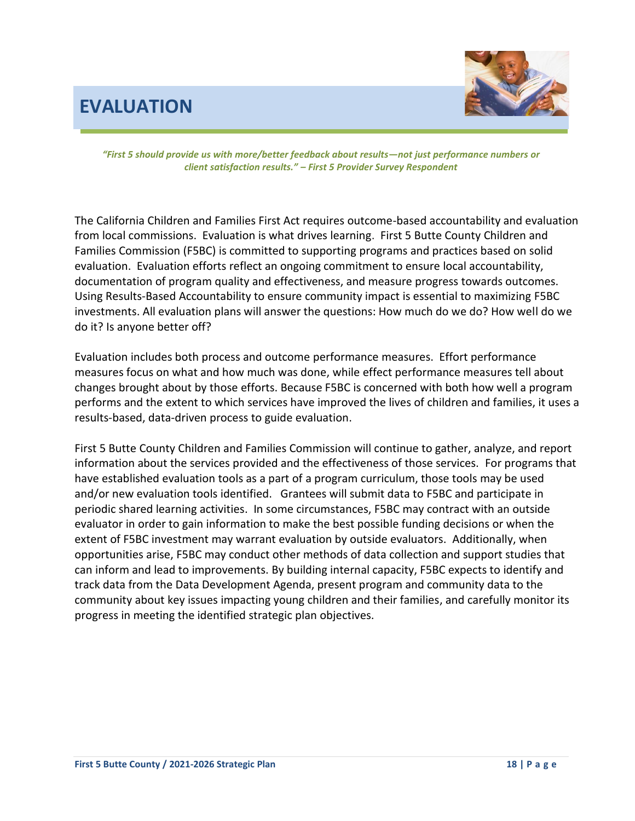## **EVALUATION**



*"First 5 should provide us with more/better feedback about results—not just performance numbers or client satisfaction results." – First 5 Provider Survey Respondent*

The California Children and Families First Act requires outcome-based accountability and evaluation from local commissions. Evaluation is what drives learning. First 5 Butte County Children and Families Commission (F5BC) is committed to supporting programs and practices based on solid evaluation. Evaluation efforts reflect an ongoing commitment to ensure local accountability, documentation of program quality and effectiveness, and measure progress towards outcomes. Using Results-Based Accountability to ensure community impact is essential to maximizing F5BC investments. All evaluation plans will answer the questions: How much do we do? How well do we do it? Is anyone better off?

Evaluation includes both process and outcome performance measures. Effort performance measures focus on what and how much was done, while effect performance measures tell about changes brought about by those efforts. Because F5BC is concerned with both how well a program performs and the extent to which services have improved the lives of children and families, it uses a results-based, data-driven process to guide evaluation.

First 5 Butte County Children and Families Commission will continue to gather, analyze, and report information about the services provided and the effectiveness of those services. For programs that have established evaluation tools as a part of a program curriculum, those tools may be used and/or new evaluation tools identified. Grantees will submit data to F5BC and participate in periodic shared learning activities. In some circumstances, F5BC may contract with an outside evaluator in order to gain information to make the best possible funding decisions or when the extent of F5BC investment may warrant evaluation by outside evaluators. Additionally, when opportunities arise, F5BC may conduct other methods of data collection and support studies that can inform and lead to improvements. By building internal capacity, F5BC expects to identify and track data from the Data Development Agenda, present program and community data to the community about key issues impacting young children and their families, and carefully monitor its progress in meeting the identified strategic plan objectives.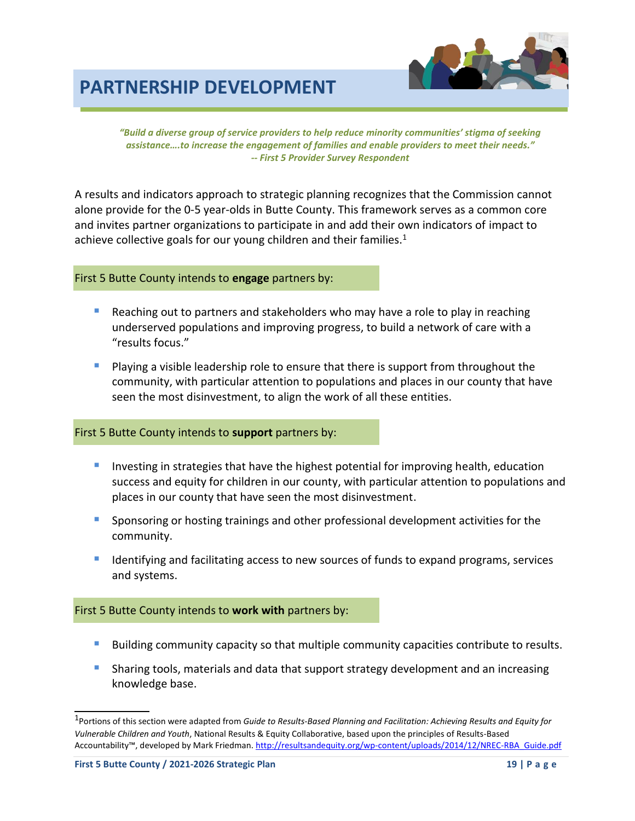## **PARTNERSHIP DEVELOPMENT**



*"Build a diverse group of service providers to help reduce minority communities' stigma of seeking assistance….to increase the engagement of families and enable providers to meet their needs." -- First 5 Provider Survey Respondent*

A results and indicators approach to strategic planning recognizes that the Commission cannot alone provide for the 0-5 year-olds in Butte County. This framework serves as a common core and invites partner organizations to participate in and add their own indicators of impact to achieve collective goals for our young children and their families. $1$ 

### First 5 Butte County intends to **engage** partners by:

- Reaching out to partners and stakeholders who may have a role to play in reaching underserved populations and improving progress, to build a network of care with a "results focus."
- **•** Playing a visible leadership role to ensure that there is support from throughout the community, with particular attention to populations and places in our county that have seen the most disinvestment, to align the work of all these entities.

### First 5 Butte County intends to **support** partners by:

- Investing in strategies that have the highest potential for improving health, education success and equity for children in our county, with particular attention to populations and places in our county that have seen the most disinvestment.
- **•** Sponsoring or hosting trainings and other professional development activities for the community.
- **E** Identifying and facilitating access to new sources of funds to expand programs, services and systems.

### First 5 Butte County intends to **work with** partners by:

- **E** Building community capacity so that multiple community capacities contribute to results.
- **E** Sharing tools, materials and data that support strategy development and an increasing knowledge base.

<sup>1</sup> Portions of this section were adapted from *Guide to Results-Based Planning and Facilitation: Achieving Results and Equity for Vulnerable Children and Youth*, National Results & Equity Collaborative, based upon the principles of Results-Based Accountability™, developed by Mark Friedman. [http://resultsandequity.org/wp-content/uploads/2014/12/NREC-RBA\\_Guide.pdf](http://resultsandequity.org/wp-content/uploads/2014/12/NREC-RBA_Guide.pdf)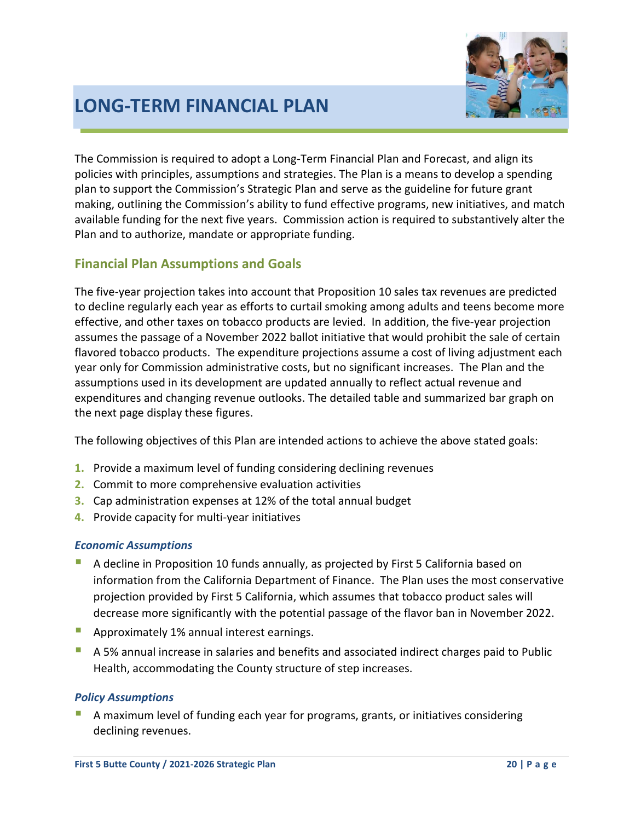

## **LONG-TERM FINANCIAL PLAN**

The Commission is required to adopt a Long-Term Financial Plan and Forecast, and align its policies with principles, assumptions and strategies. The Plan is a means to develop a spending plan to support the Commission's Strategic Plan and serve as the guideline for future grant making, outlining the Commission's ability to fund effective programs, new initiatives, and match available funding for the next five years. Commission action is required to substantively alter the Plan and to authorize, mandate or appropriate funding.

### **Financial Plan Assumptions and Goals**

The five-year projection takes into account that Proposition 10 sales tax revenues are predicted to decline regularly each year as efforts to curtail smoking among adults and teens become more effective, and other taxes on tobacco products are levied. In addition, the five-year projection assumes the passage of a November 2022 ballot initiative that would prohibit the sale of certain flavored tobacco products. The expenditure projections assume a cost of living adjustment each year only for Commission administrative costs, but no significant increases. The Plan and the assumptions used in its development are updated annually to reflect actual revenue and expenditures and changing revenue outlooks. The detailed table and summarized bar graph on the next page display these figures.

The following objectives of this Plan are intended actions to achieve the above stated goals:

- **1.** Provide a maximum level of funding considering declining revenues
- **2.** Commit to more comprehensive evaluation activities
- **3.** Cap administration expenses at 12% of the total annual budget
- **4.** Provide capacity for multi-year initiatives

### *Economic Assumptions*

- A decline in Proposition 10 funds annually, as projected by First 5 California based on information from the California Department of Finance. The Plan uses the most conservative projection provided by First 5 California, which assumes that tobacco product sales will decrease more significantly with the potential passage of the flavor ban in November 2022.
- **Approximately 1% annual interest earnings.**
- A 5% annual increase in salaries and benefits and associated indirect charges paid to Public Health, accommodating the County structure of step increases.

### *Policy Assumptions*

A maximum level of funding each year for programs, grants, or initiatives considering declining revenues.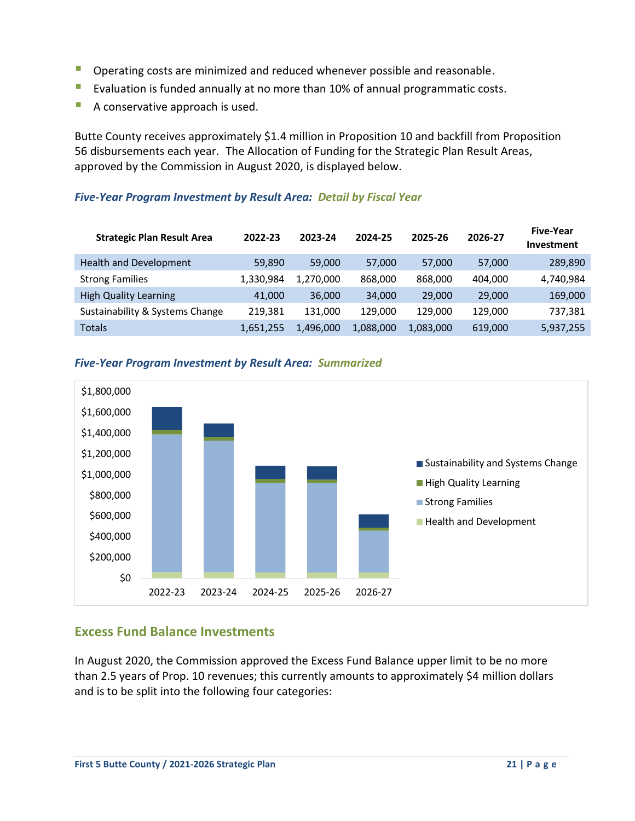- **Operating costs are minimized and reduced whenever possible and reasonable.**
- Evaluation is funded annually at no more than 10% of annual programmatic costs.
- A conservative approach is used.

Butte County receives approximately \$1.4 million in Proposition 10 and backfill from Proposition 56 disbursements each year. The Allocation of Funding for the Strategic Plan Result Areas, approved by the Commission in August 2020, is displayed below.

### *Five-Year Program Investment by Result Area: Detail by Fiscal Year*

| <b>Strategic Plan Result Area</b> | 2022-23   | 2023-24   | 2024-25   | 2025-26   | 2026-27 | <b>Five-Year</b><br><b>Investment</b> |
|-----------------------------------|-----------|-----------|-----------|-----------|---------|---------------------------------------|
| Health and Development            | 59.890    | 59,000    | 57,000    | 57,000    | 57,000  | 289,890                               |
| <b>Strong Families</b>            | 1,330,984 | 1.270.000 | 868,000   | 868,000   | 404,000 | 4,740,984                             |
| <b>High Quality Learning</b>      | 41,000    | 36,000    | 34,000    | 29,000    | 29,000  | 169,000                               |
| Sustainability & Systems Change   | 219.381   | 131.000   | 129.000   | 129.000   | 129.000 | 737,381                               |
| <b>Totals</b>                     | 1,651,255 | 1,496,000 | 1,088,000 | 1,083,000 | 619,000 | 5,937,255                             |



### *Five-Year Program Investment by Result Area: Summarized*

### **Excess Fund Balance Investments**

In August 2020, the Commission approved the Excess Fund Balance upper limit to be no more than 2.5 years of Prop. 10 revenues; this currently amounts to approximately \$4 million dollars and is to be split into the following four categories: